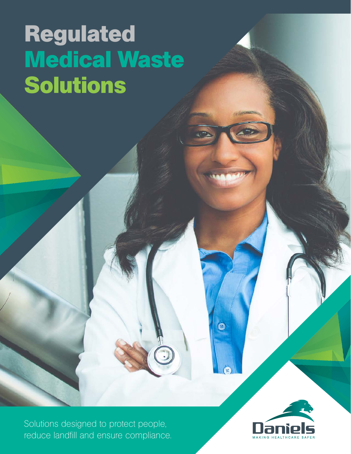# **Regulated Medical Waste Solutions**

Solutions designed to protect people, reduce landfill and ensure compliance.



 $\bullet$ 

**SR**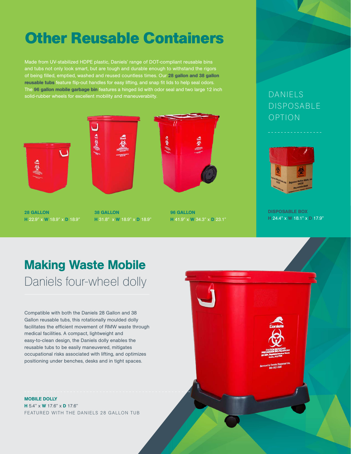# **Other Reusable Containers**

Made from UV-stabilized HDPE plastic, Daniels' range of DOT-compliant reusable bins and tubs not only look smart, but are tough and durable enough to withstand the rigors of being filled, emptied, washed and reused countless times. Our 28 gallon and 38 gallon reusable tubs feature flip-out handles for easy lifting, and snap fit lids to help seal odors. The 96 gallon mobile garbage bin features a hinged lid with odor seal and two large 12 inch solid-rubber wheels for excellent mobility and maneuverabiity.



28 GALLON H 22.9" x W 18.9" x D 18.9"







96 GALLON H 41.9" x W 34.3" x D 23.1"

#### DANIELS DISPOSABLE OPTION



DISPOSABLE BOX H 24.4" x W 18.1" x D 17.9"

#### Making Waste Mobile Daniels four-wheel dolly

Compatible with both the Daniels 28 Gallon and 38 Gallon reusable tubs, this rotationally moulded dolly facilitates the efficient movement of RMW waste through medical facilities. A compact, lightweight and easy-to-clean design, the Daniels dolly enables the reusable tubs to be easily maneuvered, mitigates occupational risks associated with lifting, and optimizes positioning under benches, desks and in tight spaces.

MOBILE DOLLY H 5.4" x **W** 17.6" x **D** 17.6" FEATURED WITH THE DANIELS 28 GALLON TUB

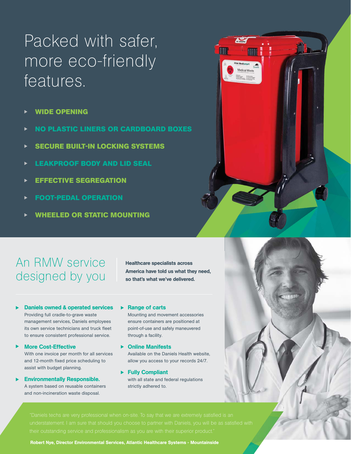# Packed with safer, more eco-friendly features.

- **WIDE OPENING**
- **NO PLASTIC LINERS OR CARDBOARD BOXES**
- **SECURE BUILT-IN LOCKING SYSTEMS**
- **LEAKPROOF BODY AND LID SEAL**
- **EFFECTIVE SEGREGATION**
- **FOOT-PEDAL OPERATION**  $\blacktriangleright$
- **WHEELED OR STATIC MOUNTING**

#### An RMW service designed by you

Healthcare specialists across America have told us what they need, so that's what we've delivered.

 $\sum_{mn}$ 

**THE** 

- Daniels owned & operated services Providing full cradle-to-grave waste management services, Daniels employees its own service technicians and truck fleet to ensure consistent professional service.
- More Cost-Effective With one invoice per month for all services and 12-month fixed price scheduling to assist with budget planning.
- Environmentally Responsible. A system based on reusable containers and non-incineration waste disposal.

 $\blacktriangleright$  Range of carts

Mounting and movement accessories ensure containers are positioned at point-of-use and safely maneuvered through a facility.

- ▶ Online Manifests Available on the Daniels Health website, allow you access to your records 24/7.
- ▶ Fully Compliant with all state and federal regulations strictly adhered to.



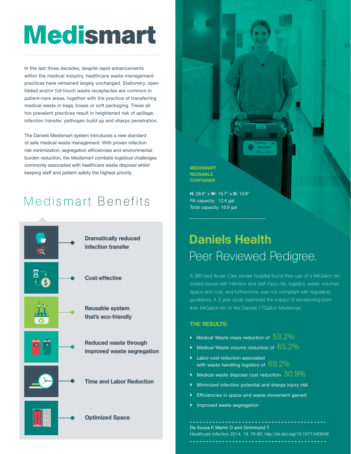# **Medismart**

In the last three decades, despite rapid advancements within the medical industry, healthcare waste management practices have remained largely unchanged. Stationery, open lidded and/or full-touch waste receptacles are common in patient-care areas, together with the practice of transferring medical waste in bags, boxes or soft packaging. These all too prevalent practices result in heightened risk of spillage, infection transfer, pathogen build up and sharps penetration.

The Daniels Medismart system introduces a new standard of safe medical waste management. With proven infection risk minimization, segregation efficiencies and environmental burden reduction, the Medismart combats logistical challenges commonly associated with healthcare waste disposal whilst keeping staff and patient safety the highest priority.

#### Medismart Benefits



MEDISMART **REUSABLE CONTAINER** 

H: 28.6" x W: 15.7" x D: 13.9" Fill capacity: 12.4 gal Total capacity: 16.9 gal

### Daniels Health Peer Reviewed Pedigree.

A 360 bed Acute Care private hospital found their use of a 64Gallon bin posed issues with infection and staff injury risk, logistics, waste volumes, space and cost, and furthermore, was not compliant with regulatory guidelines. A 3 year study examined the impact of transitioning from their 64Gallon bin to the Daniels 17Gallon Medismart.

#### THE RESULTS:

- $\blacktriangleright$  Medical Waste mass reduction of  $53.2\%$
- Medical Waste volume reduction of  $65.2\%$
- } Labor cost reduction associated with waste handling logistics of  $69.2\%$
- Medical waste disposal cost reduction  $30.9\%$
- } Minimized infection potential and sharps injury risk
- Efficiencies in space and waste movement gained
- Improved waste segregation

De Sousa F, Martin D and Grimmond T. Healthcare Infection 2014, *19, 76-80. http://dx.doi.org/10.1071/HI3048*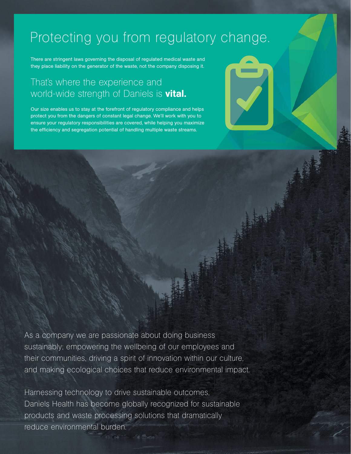### Protecting you from regulatory change.

There are stringent laws governing the disposal of regulated medical waste and they place liability on the generator of the waste, not the company disposing it.

#### That's where the experience and world-wide strength of Daniels is **vital.**

Our size enables us to stay at the forefront of regulatory compliance and helps protect you from the dangers of constant legal change. We'll work with you to ensure your regulatory responsibilities are covered, while helping you maximize the efficiency and segregation potential of handling multiple waste streams.

As a company we are passionate about doing business sustainably; empowering the wellbeing of our employees and their communities, driving a spirit of innovation within our culture, and making ecological choices that reduce environmental impact.

Harnessing technology to drive sustainable outcomes, Daniels Health has become globally recognized for sustainable products and waste processing solutions that dramatically reduce environmental burden.